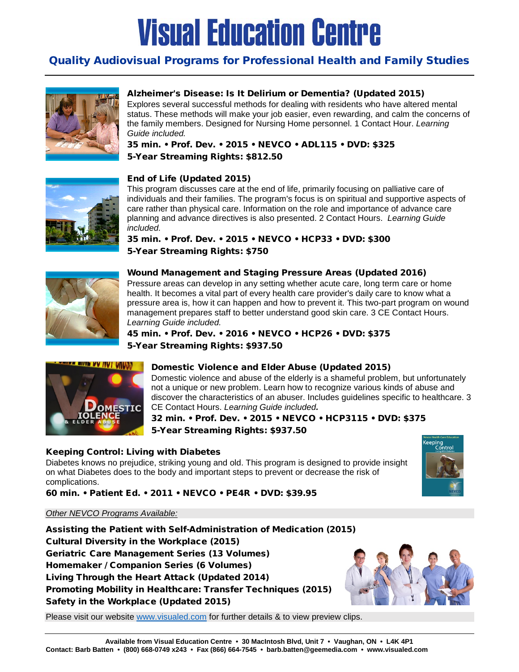### Quality Audiovisual Programs for Professional Health and Family Studies



#### Alzheimer's Disease: Is It Delirium or Dementia? (Updated 2015)

Explores several successful methods for dealing with residents who have altered mental status. These methods will make your job easier, even rewarding, and calm the concerns of the family members. Designed for Nursing Home personnel. 1 Contact Hour. *Learning Guide included.*

35 min. • Prof. Dev. • 2015 • NEVCO • ADL115 • DVD: \$325 5-Year Streaming Rights: \$812.50



#### End of Life (Updated 2015)

This program discusses care at the end of life, primarily focusing on palliative care of individuals and their families. The program's focus is on spiritual and supportive aspects of care rather than physical care. Information on the role and importance of advance care planning and advance directives is also presented. 2 Contact Hours. *Learning Guide included.*

35 min. • Prof. Dev. • 2015 • NEVCO • HCP33 • DVD: \$300 5-Year Streaming Rights: \$750



#### Wound Management and Staging Pressure Areas (Updated 2016)

Pressure areas can develop in any setting whether acute care, long term care or home health. It becomes a vital part of every health care provider's daily care to know what a pressure area is, how it can happen and how to prevent it. This two-part program on wound management prepares staff to better understand good skin care. 3 CE Contact Hours. *Learning Guide included.*

45 min. • Prof. Dev. • 2016 • NEVCO • HCP26 • DVD: \$375 5-Year Streaming Rights: \$937.50



#### Domestic Violence and Elder Abuse (Updated 2015)

Domestic violence and abuse of the elderly is a shameful problem, but unfortunately not a unique or new problem. Learn how to recognize various kinds of abuse and discover the characteristics of an abuser. Includes guidelines specific to healthcare. 3 CE Contact Hours. *Learning Guide included.*

32 min. • Prof. Dev. • 2015 • NEVCO • HCP3115 • DVD: \$375 5-Year Streaming Rights: \$937.50

#### Keeping Control: Living with Diabetes

Diabetes knows no prejudice, striking young and old. This program is designed to provide insight on what Diabetes does to the body and important steps to prevent or decrease the risk of complications.



60 min. • Patient Ed. • 2011 • NEVCO • PE4R • DVD: \$39.95

#### *Other NEVCO Programs Available:*

Assisting the Patient with Self-Administration of Medication (2015) Cultural Diversity in the Workplace (2015) Geriatric Care Management Series (13 Volumes) Homemaker / Companion Series (6 Volumes) Living Through the Heart Attack (Updated 2014) Promoting Mobility in Healthcare: Transfer Techniques (2015) Safety in the Workplace (Updated 2015)



Please visit our website [www.visualed.com](http://www.visualed.com/) for further details & to view preview clips.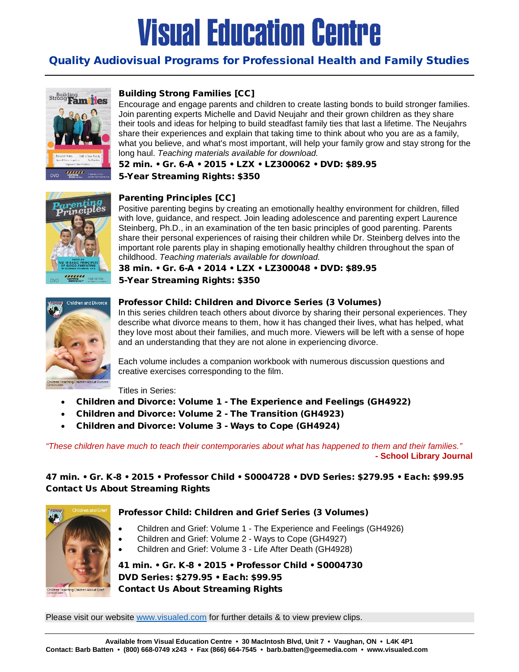### Quality Audiovisual Programs for Professional Health and Family Studies



#### Building Strong Families [CC]

Encourage and engage parents and children to create lasting bonds to build stronger families. Join parenting experts Michelle and David Neujahr and their grown children as they share their tools and ideas for helping to build steadfast family ties that last a lifetime. The Neujahrs share their experiences and explain that taking time to think about who you are as a family, what you believe, and what's most important, will help your family grow and stay strong for the long haul. *Teaching materials available for download.*

52 min. • Gr. 6-A • 2015 • LZX • LZ300062 • DVD: \$89.95

5-Year Streaming Rights: \$350



#### Parenting Principles [CC]

Positive parenting begins by creating an emotionally healthy environment for children, filled with love, guidance, and respect. Join leading adolescence and parenting expert Laurence Steinberg, Ph.D., in an examination of the ten basic principles of good parenting. Parents share their personal experiences of raising their children while Dr. Steinberg delves into the important role parents play in shaping emotionally healthy children throughout the span of childhood. *Teaching materials available for download.*

#### 38 min. • Gr. 6-A • 2014 • LZX • LZ300048 • DVD: \$89.95 5-Year Streaming Rights: \$350



#### Professor Child: Children and Divorce Series (3 Volumes)

In this series children teach others about divorce by sharing their personal experiences. They describe what divorce means to them, how it has changed their lives, what has helped, what they love most about their families, and much more. Viewers will be left with a sense of hope and an understanding that they are not alone in experiencing divorce.

Each volume includes a companion workbook with numerous discussion questions and creative exercises corresponding to the film.

Titles in Series:

- [Children and Divorce: Volume 1 -](http://www.visualed.com/htbin/wwform/217?T=GH4922) The Experience and Feelings (GH4922)
- [Children and Divorce: Volume 2 -](http://www.visualed.com/htbin/wwform/217?T=GH4923) The Transition (GH4923)
- [Children and Divorce: Volume 3 -](http://www.visualed.com/htbin/wwform/217?T=GH4924) Ways to Cope (GH4924)

*"These children have much to teach their contemporaries about what has happened to them and their families."* **- School Library Journal**

47 min. • Gr. K-8 • 2015 • Professor Child • S0004728 • DVD Series: \$279.95 • Each: \$99.95 Contact Us About Streaming Rights



#### Professor Child: Children and Grief Series (3 Volumes)

- [Children and Grief: Volume 1 -](http://www.visualed.com/htbin/wwform/217?T=GH4926) The Experience and Feelings (GH4926)
- [Children and Grief: Volume 2 -](http://www.visualed.com/htbin/wwform/217?T=GH4927) Ways to Cope (GH4927)
- [Children and Grief: Volume 3 -](http://www.visualed.com/htbin/wwform/217?T=GH4928) Life After Death (GH4928)

41 min. • Gr. K-8 • 2015 • Professor Child • S0004730 DVD Series: \$279.95 • Each: \$99.95 Contact Us About Streaming Rights

Please visit our website [www.visualed.com](http://www.visualed.com/) for further details & to view preview clips.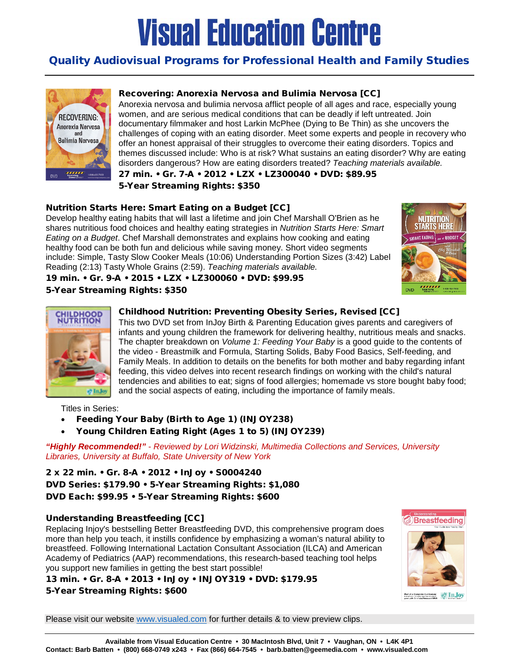#### Quality Audiovisual Programs for Professional Health and Family Studies



#### Recovering: Anorexia Nervosa and Bulimia Nervosa [CC]

Anorexia nervosa and bulimia nervosa afflict people of all ages and race, especially young women, and are serious medical conditions that can be deadly if left untreated. Join documentary filmmaker and host Larkin McPhee (Dying to Be Thin) as she uncovers the challenges of coping with an eating disorder. Meet some experts and people in recovery who offer an honest appraisal of their struggles to overcome their eating disorders. Topics and themes discussed include: Who is at risk? What sustains an eating disorder? Why are eating disorders dangerous? How are eating disorders treated? *Teaching materials available.*

27 min. • Gr. 7-A • 2012 • LZX • LZ300040 • DVD: \$89.95 5-Year Streaming Rights: \$350

#### Nutrition Starts Here: Smart Eating on a Budget [CC]

19 min. • Gr. 9-A • 2015 • LZX • LZ300060 • DVD: \$99.95

Develop healthy eating habits that will last a lifetime and join Chef Marshall O'Brien as he shares nutritious food choices and healthy eating strategies in *Nutrition Starts Here: Smart Eating on a Budget*. Chef Marshall demonstrates and explains how cooking and eating healthy food can be both fun and delicious while saving money. Short video segments include: Simple, Tasty Slow Cooker Meals (10:06) Understanding Portion Sizes (3:42) Label Reading (2:13) Tasty Whole Grains (2:59). *Teaching materials available.*



# of Inde

#### Childhood Nutrition: Preventing Obesity Series, Revised [CC]

This two DVD set from InJoy Birth & Parenting Education gives parents and caregivers of infants and young children the framework for delivering healthy, nutritious meals and snacks. The chapter breakdown on *Volume 1: Feeding Your Baby* is a good guide to the contents of the video - Breastmilk and Formula, Starting Solids, Baby Food Basics, Self-feeding, and Family Meals. In addition to details on the benefits for both mother and baby regarding infant feeding, this video delves into recent research findings on working with the child's natural tendencies and abilities to eat; signs of food allergies; homemade vs store bought baby food; and the social aspects of eating, including the importance of family meals.

Titles in Series:

5-Year Streaming Rights: \$350

- [Feeding Your Baby \(Birth to Age 1\)](http://www.visualed.com/htbin/wwform/217?T=INJOY238) (INJOY238)
- [Young Children Eating Right \(Ages 1 to 5\)](http://www.visualed.com/htbin/wwform/217?T=INJOY239) (INJOY239)

*"Highly Recommended!"* - *Reviewed by Lori Widzinski, Multimedia Collections and Services, University Libraries, University at Buffalo, State University of New York*

2 x 22 min. • Gr. 8-A • 2012 • InJoy • S0004240 DVD Series: \$179.90 • 5-Year Streaming Rights: \$1,080 DVD Each: \$99.95 • 5-Year Streaming Rights: \$600

#### Understanding Breastfeeding [CC]

Replacing Injoy's bestselling Better Breastfeeding DVD, this comprehensive program does more than help you teach, it instills confidence by emphasizing a woman's natural ability to breastfeed. Following International Lactation Consultant Association (ILCA) and American Academy of Pediatrics (AAP) recommendations, this research-based teaching tool helps you support new families in getting the best start possible!

13 min. • Gr. 8-A • 2013 • InJoy • INJOY319 • DVD: \$179.95 5-Year Streaming Rights: \$600



 $\blacksquare$   $\lozenge$  In Joy

Please visit our website [www.visualed.com](http://www.visualed.com/) for further details & to view preview clips.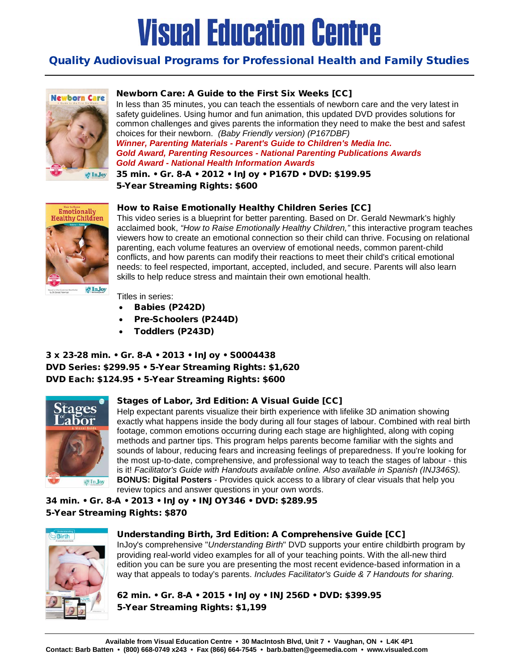#### Quality Audiovisual Programs for Professional Health and Family Studies



#### Newborn Care: A Guide to the First Six Weeks [CC]

In less than 35 minutes, you can teach the essentials of newborn care and the very latest in safety guidelines. Using humor and fun animation, this updated DVD provides solutions for common challenges and gives parents the information they need to make the best and safest choices for their newborn. *(Baby Friendly version) (P167DBF) Winner, Parenting Materials - Parent's Guide to Children's Media Inc. Gold Award, Parenting Resources - National Parenting Publications Awards Gold Award - National Health Information Awards*

35 min. • Gr. 8-A • 2012 • InJoy • P167D • DVD: \$199.95 5-Year Streaming Rights: \$600



How to Raise Emotionally Healthy Children Series [CC]

This video series is a blueprint for better parenting. Based on Dr. Gerald Newmark's highly acclaimed book, *"How to Raise Emotionally Healthy Children,"* this interactive program teaches viewers how to create an emotional connection so their child can thrive. Focusing on relational parenting, each volume features an overview of emotional needs, common parent-child conflicts, and how parents can modify their reactions to meet their child's critical emotional needs: to feel respected, important, accepted, included, and secure. Parents will also learn skills to help reduce stress and maintain their own emotional health.

Titles in series:

- Babies [\(P242D\)](http://media2.criterionpic.com/htbin/wwform/217?T=P242D)
- [Pre-Schoolers](http://media2.criterionpic.com/htbin/wwform/217?T=P244D) (P244D)
- [Toddlers](http://media2.criterionpic.com/htbin/wwform/217?T=P243D) (P243D)

3 x 23-28 min. • Gr. 8-A • 2013 • InJoy • S0004438 DVD Series: \$299.95 • 5-Year Streaming Rights: \$1,620 DVD Each: \$124.95 • 5-Year Streaming Rights: \$600



#### Stages of Labor, 3rd Edition: A Visual Guide [CC]

Help expectant parents visualize their birth experience with lifelike 3D animation showing exactly what happens inside the body during all four stages of labour. Combined with real birth footage, common emotions occurring during each stage are highlighted, along with coping methods and partner tips. This program helps parents become familiar with the sights and sounds of labour, reducing fears and increasing feelings of preparedness. If you're looking for the most up-to-date, comprehensive, and professional way to teach the stages of labour - this is it! *Facilitator's Guide with Handouts available online. Also available in Spanish (INJ346S).* **BONUS: Digital Posters** - Provides quick access to a library of clear visuals that help you review topics and answer questions in your own words.

34 min. • Gr. 8-A • 2013 • InJoy • INJOY346 • DVD: \$289.95 5-Year Streaming Rights: \$870



#### Understanding Birth, 3rd Edition: A Comprehensive Guide [CC]

InJoy's comprehensive "*Understanding Birth*" DVD supports your entire childbirth program by providing real-world video examples for all of your teaching points. With the all-new third edition you can be sure you are presenting the most recent evidence-based information in a way that appeals to today's parents. *Includes Facilitator's Guide & 7 Handouts for sharing.*

62 min. • Gr. 8-A • 2015 • InJoy • INJ256D • DVD: \$399.95 5-Year Streaming Rights: \$1,199